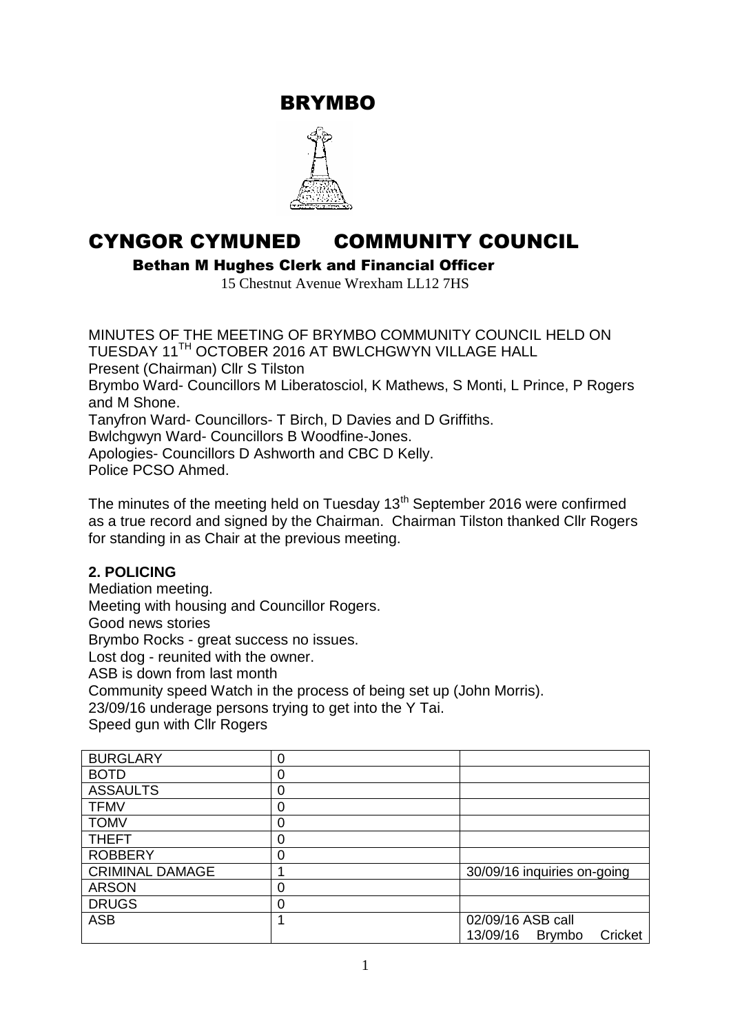BRYMBO



# CYNGOR CYMUNED COMMUNITY COUNCIL

Bethan M Hughes Clerk and Financial Officer

15 Chestnut Avenue Wrexham LL12 7HS

MINUTES OF THE MEETING OF BRYMBO COMMUNITY COUNCIL HELD ON TUESDAY 11TH OCTOBER 2016 AT BWLCHGWYN VILLAGE HALL Present (Chairman) Cllr S Tilston Brymbo Ward- Councillors M Liberatosciol, K Mathews, S Monti, L Prince, P Rogers and M Shone. Tanyfron Ward- Councillors- T Birch, D Davies and D Griffiths. Bwlchgwyn Ward- Councillors B Woodfine-Jones. Apologies- Councillors D Ashworth and CBC D Kelly. Police PCSO Ahmed.

The minutes of the meeting held on Tuesday 13<sup>th</sup> September 2016 were confirmed as a true record and signed by the Chairman. Chairman Tilston thanked Cllr Rogers for standing in as Chair at the previous meeting.

#### **2. POLICING**

Mediation meeting.

Meeting with housing and Councillor Rogers.

Good news stories

Brymbo Rocks - great success no issues.

Lost dog - reunited with the owner.

ASB is down from last month

Community speed Watch in the process of being set up (John Morris).

23/09/16 underage persons trying to get into the Y Tai.

Speed gun with Cllr Rogers

| <b>BURGLARY</b>        | 0 |                                      |  |  |
|------------------------|---|--------------------------------------|--|--|
| <b>BOTD</b>            | 0 |                                      |  |  |
| <b>ASSAULTS</b>        | Ω |                                      |  |  |
| <b>TFMV</b>            | Ω |                                      |  |  |
| <b>TOMV</b>            | Ⴖ |                                      |  |  |
| <b>THEFT</b>           | 0 |                                      |  |  |
| <b>ROBBERY</b>         | 0 |                                      |  |  |
| <b>CRIMINAL DAMAGE</b> |   | 30/09/16 inquiries on-going          |  |  |
| <b>ARSON</b>           |   |                                      |  |  |
| <b>DRUGS</b>           | 0 |                                      |  |  |
| <b>ASB</b>             |   | 02/09/16 ASB call                    |  |  |
|                        |   | 13/09/16<br>Cricket<br><b>Brymbo</b> |  |  |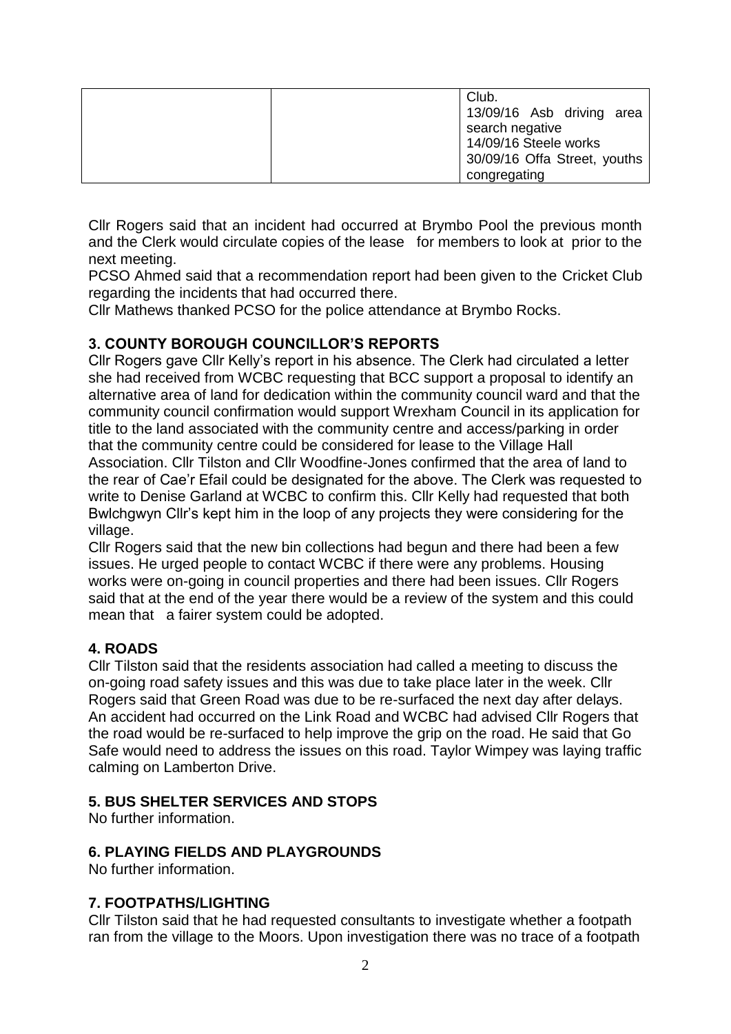| Club.<br>13/09/16 Asb driving area<br>search negative |
|-------------------------------------------------------|
| 14/09/16 Steele works                                 |
| 30/09/16 Offa Street, youths                          |
| congregating                                          |

Cllr Rogers said that an incident had occurred at Brymbo Pool the previous month and the Clerk would circulate copies of the lease for members to look at prior to the next meeting.

PCSO Ahmed said that a recommendation report had been given to the Cricket Club regarding the incidents that had occurred there.

Cllr Mathews thanked PCSO for the police attendance at Brymbo Rocks.

## **3. COUNTY BOROUGH COUNCILLOR'S REPORTS**

Cllr Rogers gave Cllr Kelly's report in his absence. The Clerk had circulated a letter she had received from WCBC requesting that BCC support a proposal to identify an alternative area of land for dedication within the community council ward and that the community council confirmation would support Wrexham Council in its application for title to the land associated with the community centre and access/parking in order that the community centre could be considered for lease to the Village Hall Association. Cllr Tilston and Cllr Woodfine-Jones confirmed that the area of land to the rear of Cae'r Efail could be designated for the above. The Clerk was requested to write to Denise Garland at WCBC to confirm this. Cllr Kelly had requested that both Bwlchgwyn Cllr's kept him in the loop of any projects they were considering for the village.

Cllr Rogers said that the new bin collections had begun and there had been a few issues. He urged people to contact WCBC if there were any problems. Housing works were on-going in council properties and there had been issues. Cllr Rogers said that at the end of the year there would be a review of the system and this could mean that a fairer system could be adopted.

## **4. ROADS**

Cllr Tilston said that the residents association had called a meeting to discuss the on-going road safety issues and this was due to take place later in the week. Cllr Rogers said that Green Road was due to be re-surfaced the next day after delays. An accident had occurred on the Link Road and WCBC had advised Cllr Rogers that the road would be re-surfaced to help improve the grip on the road. He said that Go Safe would need to address the issues on this road. Taylor Wimpey was laying traffic calming on Lamberton Drive.

#### **5. BUS SHELTER SERVICES AND STOPS**

No further information.

#### **6. PLAYING FIELDS AND PLAYGROUNDS**

No further information.

#### **7. FOOTPATHS/LIGHTING**

Cllr Tilston said that he had requested consultants to investigate whether a footpath ran from the village to the Moors. Upon investigation there was no trace of a footpath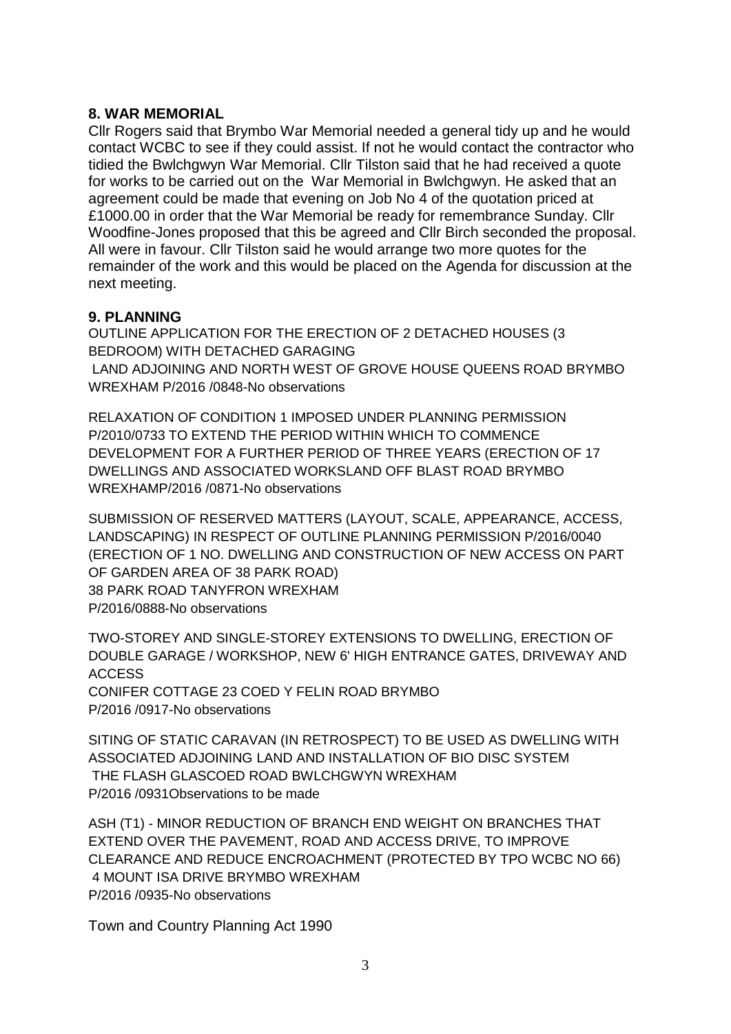#### **8. WAR MEMORIAL**

Cllr Rogers said that Brymbo War Memorial needed a general tidy up and he would contact WCBC to see if they could assist. If not he would contact the contractor who tidied the Bwlchgwyn War Memorial. Cllr Tilston said that he had received a quote for works to be carried out on the War Memorial in Bwlchgwyn. He asked that an agreement could be made that evening on Job No 4 of the quotation priced at £1000.00 in order that the War Memorial be ready for remembrance Sunday. Cllr Woodfine-Jones proposed that this be agreed and Cllr Birch seconded the proposal. All were in favour. Cllr Tilston said he would arrange two more quotes for the remainder of the work and this would be placed on the Agenda for discussion at the next meeting.

## **9. PLANNING**

OUTLINE APPLICATION FOR THE ERECTION OF 2 DETACHED HOUSES (3 BEDROOM) WITH DETACHED GARAGING LAND ADJOINING AND NORTH WEST OF GROVE HOUSE QUEENS ROAD BRYMBO WREXHAM P/2016 /0848-No observations

RELAXATION OF CONDITION 1 IMPOSED UNDER PLANNING PERMISSION P/2010/0733 TO EXTEND THE PERIOD WITHIN WHICH TO COMMENCE DEVELOPMENT FOR A FURTHER PERIOD OF THREE YEARS (ERECTION OF 17 DWELLINGS AND ASSOCIATED WORKSLAND OFF BLAST ROAD BRYMBO WREXHAMP/2016 /0871-No observations

SUBMISSION OF RESERVED MATTERS (LAYOUT, SCALE, APPEARANCE, ACCESS, LANDSCAPING) IN RESPECT OF OUTLINE PLANNING PERMISSION P/2016/0040 (ERECTION OF 1 NO. DWELLING AND CONSTRUCTION OF NEW ACCESS ON PART OF GARDEN AREA OF 38 PARK ROAD) 38 PARK ROAD TANYFRON WREXHAM P/2016/0888-No observations

TWO-STOREY AND SINGLE-STOREY EXTENSIONS TO DWELLING, ERECTION OF DOUBLE GARAGE / WORKSHOP, NEW 6' HIGH ENTRANCE GATES, DRIVEWAY AND ACCESS CONIFER COTTAGE 23 COED Y FELIN ROAD BRYMBO P/2016 /0917-No observations

SITING OF STATIC CARAVAN (IN RETROSPECT) TO BE USED AS DWELLING WITH ASSOCIATED ADJOINING LAND AND INSTALLATION OF BIO DISC SYSTEM THE FLASH GLASCOED ROAD BWLCHGWYN WREXHAM P/2016 /0931Observations to be made

ASH (T1) - MINOR REDUCTION OF BRANCH END WEIGHT ON BRANCHES THAT EXTEND OVER THE PAVEMENT, ROAD AND ACCESS DRIVE, TO IMPROVE CLEARANCE AND REDUCE ENCROACHMENT (PROTECTED BY TPO WCBC NO 66) 4 MOUNT ISA DRIVE BRYMBO WREXHAM P/2016 /0935-No observations

Town and Country Planning Act 1990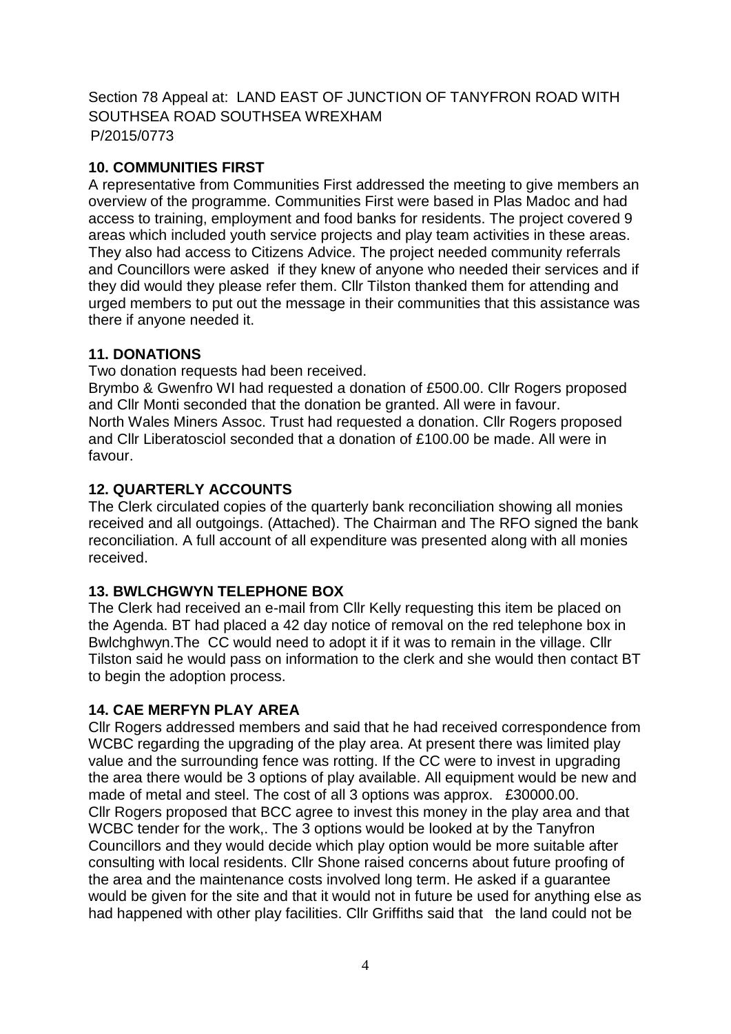Section 78 Appeal at: LAND EAST OF JUNCTION OF TANYFRON ROAD WITH SOUTHSEA ROAD SOUTHSEA WREXHAM P/2015/0773

## **10. COMMUNITIES FIRST**

A representative from Communities First addressed the meeting to give members an overview of the programme. Communities First were based in Plas Madoc and had access to training, employment and food banks for residents. The project covered 9 areas which included youth service projects and play team activities in these areas. They also had access to Citizens Advice. The project needed community referrals and Councillors were asked if they knew of anyone who needed their services and if they did would they please refer them. Cllr Tilston thanked them for attending and urged members to put out the message in their communities that this assistance was there if anyone needed it.

# **11. DONATIONS**

Two donation requests had been received.

Brymbo & Gwenfro WI had requested a donation of £500.00. Cllr Rogers proposed and Cllr Monti seconded that the donation be granted. All were in favour. North Wales Miners Assoc. Trust had requested a donation. Cllr Rogers proposed and Cllr Liberatosciol seconded that a donation of £100.00 be made. All were in favour.

# **12. QUARTERLY ACCOUNTS**

The Clerk circulated copies of the quarterly bank reconciliation showing all monies received and all outgoings. (Attached). The Chairman and The RFO signed the bank reconciliation. A full account of all expenditure was presented along with all monies received.

## **13. BWLCHGWYN TELEPHONE BOX**

The Clerk had received an e-mail from Cllr Kelly requesting this item be placed on the Agenda. BT had placed a 42 day notice of removal on the red telephone box in Bwlchghwyn.The CC would need to adopt it if it was to remain in the village. Cllr Tilston said he would pass on information to the clerk and she would then contact BT to begin the adoption process.

## **14. CAE MERFYN PLAY AREA**

Cllr Rogers addressed members and said that he had received correspondence from WCBC regarding the upgrading of the play area. At present there was limited play value and the surrounding fence was rotting. If the CC were to invest in upgrading the area there would be 3 options of play available. All equipment would be new and made of metal and steel. The cost of all 3 options was approx. £30000.00. Cllr Rogers proposed that BCC agree to invest this money in the play area and that WCBC tender for the work,. The 3 options would be looked at by the Tanyfron Councillors and they would decide which play option would be more suitable after consulting with local residents. Cllr Shone raised concerns about future proofing of the area and the maintenance costs involved long term. He asked if a guarantee would be given for the site and that it would not in future be used for anything else as had happened with other play facilities. Cllr Griffiths said that the land could not be